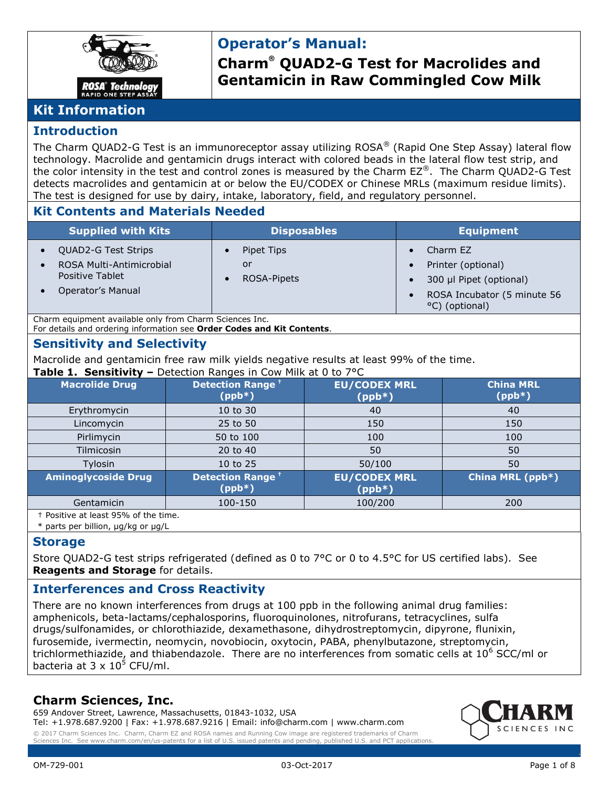

# **Operator's Manual:**

**Charm® QUAD2-G Test for Macrolides and Gentamicin in Raw Commingled Cow Milk**

# **Kit Information**

#### **Introduction**

The Charm OUAD2-G Test is an immunoreceptor assay utilizing ROSA® (Rapid One Step Assay) lateral flow technology. Macrolide and gentamicin drugs interact with colored beads in the lateral flow test strip, and the color intensity in the test and control zones is measured by the Charm EZ®. The Charm QUAD2-G Test detects macrolides and gentamicin at or below the EU/CODEX or Chinese MRLs (maximum residue limits). The test is designed for use by dairy, intake, laboratory, field, and regulatory personnel.

#### **Kit Contents and Materials Needed**

| <b>Supplied with Kits</b>                   | <b>Disposables</b> | <b>Equipment</b>                              |
|---------------------------------------------|--------------------|-----------------------------------------------|
| QUAD2-G Test Strips                         | Pipet Tips         | Charm EZ                                      |
| ROSA Multi-Antimicrobial<br>Positive Tablet | or<br>ROSA-Pipets  | Printer (optional)<br>300 µl Pipet (optional) |
| Operator's Manual                           |                    | ROSA Incubator (5 minute 56<br>°C) (optional) |

Charm equipment available only from Charm Sciences Inc. For details and ordering information see **Order Codes and Kit Contents**.

### **Sensitivity and Selectivity**

Macrolide and gentamicin free raw milk yields negative results at least 99% of the time. **Table 1. Sensitivity –** Detection Ranges in Cow Milk at 0 to 7°C

| $1901C + 1001191C$<br>$D$ and $D$ and $D$ are $D$ and $D$ are $D$ and $D$ are $D$ and $D$ are $D$ are $D$ and $D$ |                                    |                                 |                              |
|-------------------------------------------------------------------------------------------------------------------|------------------------------------|---------------------------------|------------------------------|
| <b>Macrolide Drug</b>                                                                                             | <b>Detection Range</b><br>$(ppb*)$ | <b>EU/CODEX MRL</b><br>$(ppb*)$ | <b>China MRL</b><br>$(ppb*)$ |
| Erythromycin                                                                                                      | 10 to 30                           | 40                              | 40                           |
| Lincomycin                                                                                                        | 25 to 50                           | 150                             | 150                          |
| Pirlimycin                                                                                                        | 50 to 100                          | 100                             | 100                          |
| Tilmicosin                                                                                                        | 20 to 40                           | 50                              | 50                           |
| Tylosin                                                                                                           | 10 to 25                           | 50/100                          | 50                           |
| <b>Aminoglycoside Drug</b>                                                                                        | <b>Detection Range</b><br>$(ppb*)$ | <b>EU/CODEX MRL</b><br>$(ppb*)$ | China MRL (ppb*)             |
| Gentamicin                                                                                                        | 100-150                            | 100/200                         | 200                          |
| <sup>+</sup> Positive at least 95% of the time.                                                                   |                                    |                                 |                              |

\* parts per billion, µg/kg or µg/L

#### **Storage**

Store QUAD2-G test strips refrigerated (defined as 0 to 7°C or 0 to 4.5°C for US certified labs). See **Reagents and Storage** for details.

# **Interferences and Cross Reactivity**

There are no known interferences from drugs at 100 ppb in the following animal drug families: amphenicols, beta-lactams/cephalosporins, fluoroquinolones, nitrofurans, tetracyclines, sulfa drugs/sulfonamides, or chlorothiazide, dexamethasone, dihydrostreptomycin, dipyrone, flunixin, furosemide, ivermectin, neomycin, novobiocin, oxytocin, PABA, phenylbutazone, streptomycin, trichlormethiazide, and thiabendazole. There are no interferences from somatic cells at  $10^6$  SCC/ml or bacteria at  $3 \times 10^5$  CFU/ml.

### **Charm Sciences, Inc.**

659 Andover Street, Lawrence, Massachusetts, 01843-1032, USA Tel: +1.978.687.9200 | Fax: +1.978.687.9216 | Email: info@charm.com | www.charm.com © 2017 Charm Sciences Inc. Charm, Charm EZ and ROSA names and Running Cow image are registered trademarks of Charm



issued patents and pending.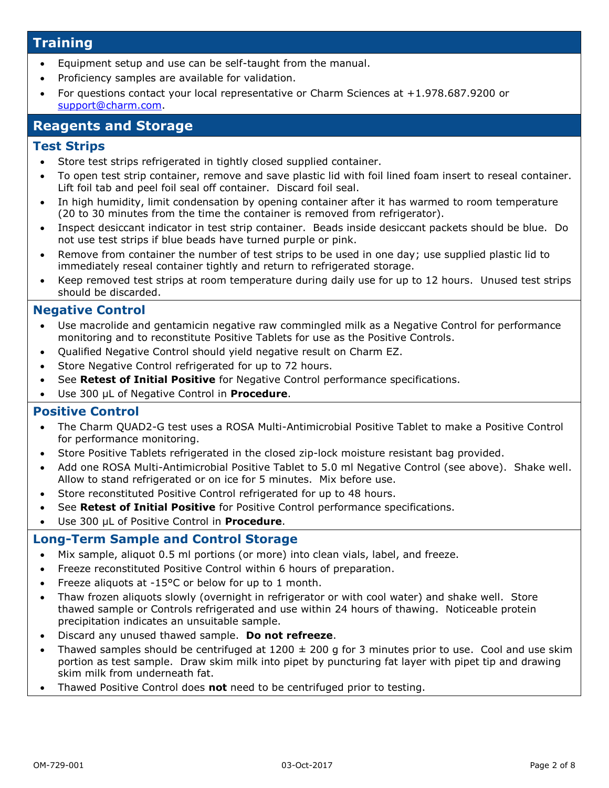### **Training**

- Equipment setup and use can be self-taught from the manual.
- Proficiency samples are available for validation.
- For questions contact your local representative or Charm Sciences at +1.978.687.9200 or [support@charm.com.](mailto:support@charm.com)

# **Reagents and Storage**

#### **Test Strips**

- Store test strips refrigerated in tightly closed supplied container.
- To open test strip container, remove and save plastic lid with foil lined foam insert to reseal container. Lift foil tab and peel foil seal off container. Discard foil seal.
- In high humidity, limit condensation by opening container after it has warmed to room temperature (20 to 30 minutes from the time the container is removed from refrigerator).
- Inspect desiccant indicator in test strip container. Beads inside desiccant packets should be blue. Do not use test strips if blue beads have turned purple or pink.
- Remove from container the number of test strips to be used in one day; use supplied plastic lid to immediately reseal container tightly and return to refrigerated storage.
- Keep removed test strips at room temperature during daily use for up to 12 hours. Unused test strips should be discarded.

#### **Negative Control**

- Use macrolide and gentamicin negative raw commingled milk as a Negative Control for performance monitoring and to reconstitute Positive Tablets for use as the Positive Controls.
- Qualified Negative Control should yield negative result on Charm EZ.
- Store Negative Control refrigerated for up to 72 hours.
- See **Retest of Initial Positive** for Negative Control performance specifications.
- Use 300 µL of Negative Control in **Procedure**.

#### **Positive Control**

- The Charm QUAD2-G test uses a ROSA Multi-Antimicrobial Positive Tablet to make a Positive Control for performance monitoring.
- Store Positive Tablets refrigerated in the closed zip-lock moisture resistant bag provided.
- Add one ROSA Multi-Antimicrobial Positive Tablet to 5.0 ml Negative Control (see above). Shake well. Allow to stand refrigerated or on ice for 5 minutes. Mix before use.
- Store reconstituted Positive Control refrigerated for up to 48 hours.
- See **Retest of Initial Positive** for Positive Control performance specifications.
- Use 300 µL of Positive Control in **Procedure**.

#### **Long-Term Sample and Control Storage**

- Mix sample, aliquot 0.5 ml portions (or more) into clean vials, label, and freeze.
- Freeze reconstituted Positive Control within 6 hours of preparation.
- Freeze aliquots at -15°C or below for up to 1 month.
- Thaw frozen aliquots slowly (overnight in refrigerator or with cool water) and shake well. Store thawed sample or Controls refrigerated and use within 24 hours of thawing. Noticeable protein precipitation indicates an unsuitable sample.
- Discard any unused thawed sample. **Do not refreeze**.
- Thawed samples should be centrifuged at  $1200 \pm 200$  g for 3 minutes prior to use. Cool and use skim portion as test sample. Draw skim milk into pipet by puncturing fat layer with pipet tip and drawing skim milk from underneath fat.
- Thawed Positive Control does **not** need to be centrifuged prior to testing.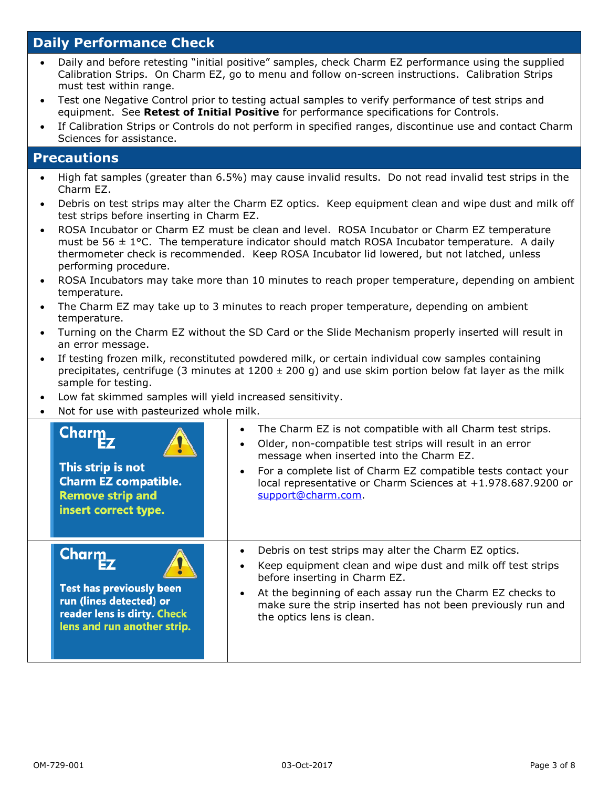# **Daily Performance Check**

- Daily and before retesting "initial positive" samples, check Charm EZ performance using the supplied Calibration Strips. On Charm EZ, go to menu and follow on-screen instructions. Calibration Strips must test within range.
- Test one Negative Control prior to testing actual samples to verify performance of test strips and equipment. See **Retest of Initial Positive** for performance specifications for Controls.
- If Calibration Strips or Controls do not perform in specified ranges, discontinue use and contact Charm Sciences for assistance.

### **Precautions**

- High fat samples (greater than 6.5%) may cause invalid results. Do not read invalid test strips in the Charm EZ.
- Debris on test strips may alter the Charm EZ optics. Keep equipment clean and wipe dust and milk off test strips before inserting in Charm EZ.
- ROSA Incubator or Charm EZ must be clean and level. ROSA Incubator or Charm EZ temperature must be 56  $\pm$  1°C. The temperature indicator should match ROSA Incubator temperature. A daily thermometer check is recommended. Keep ROSA Incubator lid lowered, but not latched, unless performing procedure.
- ROSA Incubators may take more than 10 minutes to reach proper temperature, depending on ambient temperature.
- The Charm EZ may take up to 3 minutes to reach proper temperature, depending on ambient temperature.
- Turning on the Charm EZ without the SD Card or the Slide Mechanism properly inserted will result in an error message.
- If testing frozen milk, reconstituted powdered milk, or certain individual cow samples containing precipitates, centrifuge (3 minutes at  $1200 \pm 200$  g) and use skim portion below fat layer as the milk sample for testing.
- Low fat skimmed samples will yield increased sensitivity.
- Not for use with pasteurized whole milk.

| Charm<br>This strip is not<br><b>Charm EZ compatible.</b><br><b>Remove strip and</b><br>insert correct type.                             | The Charm EZ is not compatible with all Charm test strips.<br>$\bullet$<br>Older, non-compatible test strips will result in an error<br>message when inserted into the Charm EZ.<br>For a complete list of Charm EZ compatible tests contact your<br>local representative or Charm Sciences at +1.978.687.9200 or<br>support@charm.com. |
|------------------------------------------------------------------------------------------------------------------------------------------|-----------------------------------------------------------------------------------------------------------------------------------------------------------------------------------------------------------------------------------------------------------------------------------------------------------------------------------------|
| <b>Charm</b><br><b>Test has previously been</b><br>run (lines detected) or<br>reader lens is dirty. Check<br>lens and run another strip. | Debris on test strips may alter the Charm EZ optics.<br>Keep equipment clean and wipe dust and milk off test strips<br>before inserting in Charm EZ.<br>At the beginning of each assay run the Charm EZ checks to<br>make sure the strip inserted has not been previously run and<br>the optics lens is clean.                          |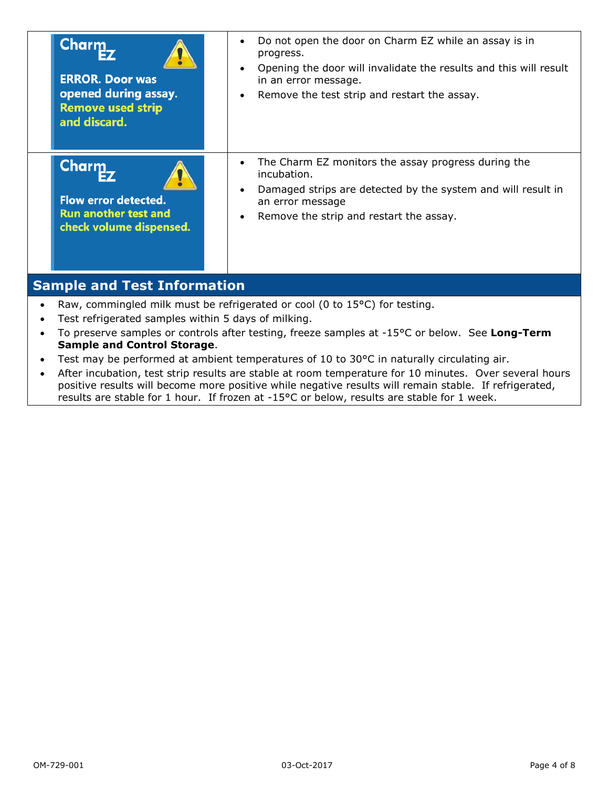| Charm<br><b>ERROR. Door was</b><br>opened during assay.<br><b>Remove used strip</b><br>and discard.   | Do not open the door on Charm EZ while an assay is in<br>$\bullet$<br>progress.<br>Opening the door will invalidate the results and this will result<br>in an error message.<br>Remove the test strip and restart the assay.<br>$\bullet$ |  |
|-------------------------------------------------------------------------------------------------------|-------------------------------------------------------------------------------------------------------------------------------------------------------------------------------------------------------------------------------------------|--|
| <b>Charm</b><br><b>Flow error detected.</b><br><b>Run another test and</b><br>check volume dispensed. | The Charm EZ monitors the assay progress during the<br>$\bullet$<br>incubation.<br>Damaged strips are detected by the system and will result in<br>$\bullet$<br>an error message<br>Remove the strip and restart the assay.<br>٠          |  |
| <b>Sample and Test Information</b>                                                                    |                                                                                                                                                                                                                                           |  |
| $\bullet$<br>Test refrigerated samples within 5 days of milking.                                      | Raw, commingled milk must be refrigerated or cool (0 to 15°C) for testing.<br>To preserve samples or controls after testing freeze samples at -15°C or below. See <b>Long-Term</b>                                                        |  |

- To preserve samples or controls after testing, freeze samples at -15°C or below. See **Long-Term Sample and Control Storage**.
- Test may be performed at ambient temperatures of 10 to 30°C in naturally circulating air.
- After incubation, test strip results are stable at room temperature for 10 minutes. Over several hours positive results will become more positive while negative results will remain stable. If refrigerated, results are stable for 1 hour. If frozen at -15°C or below, results are stable for 1 week.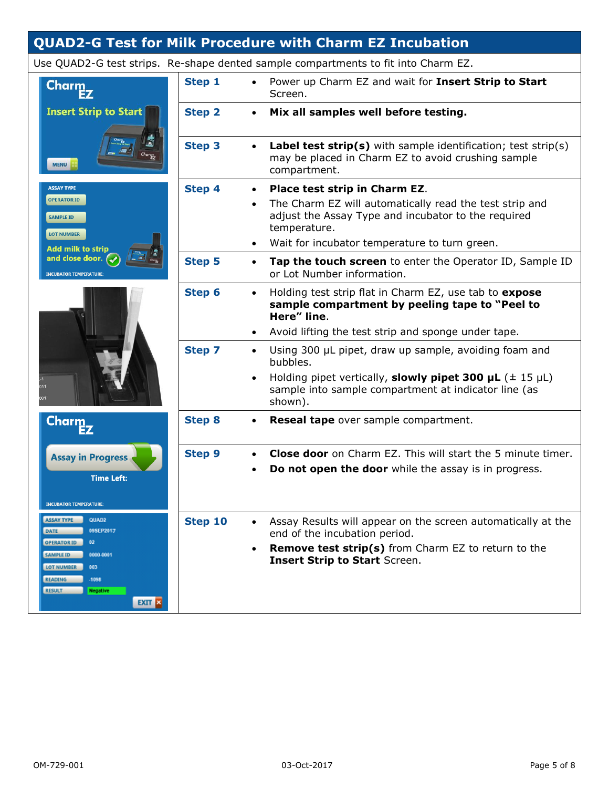# **QUAD2-G Test for Milk Procedure with Charm EZ Incubation**

|                                                                                                                                                                                      |               | Use QUAD2-G test strips. Re-shape dented sample compartments to fit into Charm EZ.                                                                                                                                            |
|--------------------------------------------------------------------------------------------------------------------------------------------------------------------------------------|---------------|-------------------------------------------------------------------------------------------------------------------------------------------------------------------------------------------------------------------------------|
| Charm                                                                                                                                                                                | Step 1        | Power up Charm EZ and wait for Insert Strip to Start<br>Screen.                                                                                                                                                               |
| <b>Insert Strip to Start</b><br><b>MENU</b>                                                                                                                                          | <b>Step 2</b> | Mix all samples well before testing.<br>$\bullet$                                                                                                                                                                             |
|                                                                                                                                                                                      | <b>Step 3</b> | <b>Label test strip(s)</b> with sample identification; test strip(s)<br>$\bullet$<br>may be placed in Charm EZ to avoid crushing sample<br>compartment.                                                                       |
| <b>ASSAY TYPE</b><br><b>OPERATOR ID</b><br><b>SAMPLE ID</b><br><b>LOT NUMBER</b><br><b>Add milk to strip</b><br>and close door. $\left(\rightarrow$<br><b>INCUBATOR TEMPERATURE:</b> | <b>Step 4</b> | Place test strip in Charm EZ.<br>$\bullet$<br>The Charm EZ will automatically read the test strip and<br>adjust the Assay Type and incubator to the required<br>temperature.<br>Wait for incubator temperature to turn green. |
|                                                                                                                                                                                      | <b>Step 5</b> | Tap the touch screen to enter the Operator ID, Sample ID<br>$\bullet$<br>or Lot Number information.                                                                                                                           |
|                                                                                                                                                                                      | Step 6        | Holding test strip flat in Charm EZ, use tab to expose<br>$\bullet$<br>sample compartment by peeling tape to "Peel to<br>Here" line.                                                                                          |
|                                                                                                                                                                                      |               | Avoid lifting the test strip and sponge under tape.                                                                                                                                                                           |
|                                                                                                                                                                                      | <b>Step 7</b> | Using 300 µL pipet, draw up sample, avoiding foam and<br>$\bullet$<br>bubbles.<br>Holding pipet vertically, <b>slowly pipet 300 µL</b> ( $\pm$ 15 µL)<br>$\bullet$<br>sample into sample compartment at indicator line (as    |
|                                                                                                                                                                                      |               | shown).                                                                                                                                                                                                                       |
| <b>Charm</b>                                                                                                                                                                         | <b>Step 8</b> | Reseal tape over sample compartment.<br>$\bullet$                                                                                                                                                                             |
| <b>Assay in Progress</b><br><b>Time Left:</b><br>NCURATOR TEMPERATURE                                                                                                                | <b>Step 9</b> | <b>Close door</b> on Charm EZ. This will start the 5 minute timer.<br>Do not open the door while the assay is in progress.                                                                                                    |
| <b>ASSAY TYPE</b><br>QUAD2                                                                                                                                                           | Step 10       | Assay Results will appear on the screen automatically at the                                                                                                                                                                  |
| DATE<br>09SEP2017<br><b>OPERATOR ID</b><br>$^{02}$                                                                                                                                   |               | end of the incubation period.                                                                                                                                                                                                 |
| <b>SAMPLE ID</b><br>0000-0001<br>LOT NUMBER<br>003<br><b>READING</b><br>-1098                                                                                                        |               | Remove test strip(s) from Charm EZ to return to the<br><b>Insert Strip to Start Screen.</b>                                                                                                                                   |
| <b>RESULT</b><br><b>Negative</b><br><b>EXIT X</b>                                                                                                                                    |               |                                                                                                                                                                                                                               |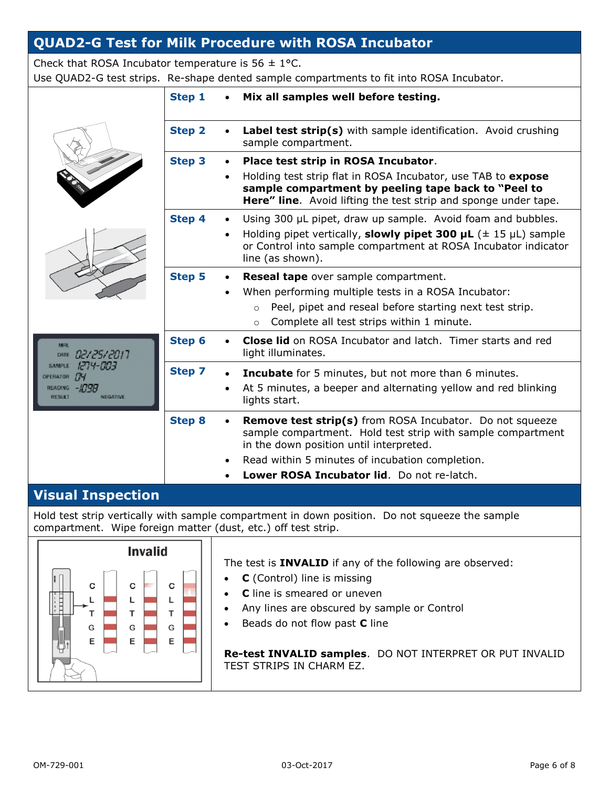# **QUAD2-G Test for Milk Procedure with ROSA Incubator**

Check that ROSA Incubator temperature is  $56 \pm 1$ °C.

Use QUAD2-G test strips. Re-shape dented sample compartments to fit into ROSA Incubator.

|                                                                                                                                                  | Step 1        | Mix all samples well before testing.                                                                                                                                                                                                                                                                 |
|--------------------------------------------------------------------------------------------------------------------------------------------------|---------------|------------------------------------------------------------------------------------------------------------------------------------------------------------------------------------------------------------------------------------------------------------------------------------------------------|
|                                                                                                                                                  | <b>Step 2</b> | Label test strip(s) with sample identification. Avoid crushing<br>$\bullet$<br>sample compartment.                                                                                                                                                                                                   |
|                                                                                                                                                  | <b>Step 3</b> | Place test strip in ROSA Incubator.<br>$\bullet$<br>Holding test strip flat in ROSA Incubator, use TAB to expose<br>$\bullet$<br>sample compartment by peeling tape back to "Peel to<br>Here" line. Avoid lifting the test strip and sponge under tape.                                              |
|                                                                                                                                                  | Step 4        | Using 300 µL pipet, draw up sample. Avoid foam and bubbles.<br>$\bullet$<br>Holding pipet vertically, <b>slowly pipet 300 <math>\mu</math>L</b> ( $\pm$ 15 $\mu$ L) sample<br>$\bullet$<br>or Control into sample compartment at ROSA Incubator indicator<br>line (as shown).                        |
|                                                                                                                                                  | <b>Step 5</b> | Reseal tape over sample compartment.<br>$\bullet$<br>When performing multiple tests in a ROSA Incubator:<br>$\bullet$<br>Peel, pipet and reseal before starting next test strip.<br>$\circ$<br>Complete all test strips within 1 minute.<br>$\circ$                                                  |
| <b>MRL</b><br>02/25/2017<br><b>DATE</b><br>1274-003<br><b>SAMPLE</b><br>OPERATOR<br>-4798<br><b>READING</b><br><b>NIEGATIVE</b><br><b>RESILT</b> | Step 6        | <b>Close lid</b> on ROSA Incubator and latch. Timer starts and red<br>light illuminates.                                                                                                                                                                                                             |
|                                                                                                                                                  | <b>Step 7</b> | <b>Incubate</b> for 5 minutes, but not more than 6 minutes.<br>$\bullet$<br>At 5 minutes, a beeper and alternating yellow and red blinking<br>$\bullet$<br>lights start.                                                                                                                             |
|                                                                                                                                                  | <b>Step 8</b> | <b>Remove test strip(s)</b> from ROSA Incubator. Do not squeeze<br>$\bullet$<br>sample compartment. Hold test strip with sample compartment<br>in the down position until interpreted.<br>Read within 5 minutes of incubation completion.<br>$\bullet$<br>Lower ROSA Incubator lid. Do not re-latch. |
| Vienal Teenselis                                                                                                                                 |               |                                                                                                                                                                                                                                                                                                      |

**Visual Inspection**

Hold test strip vertically with sample compartment in down position. Do not squeeze the sample compartment. Wipe foreign matter (dust, etc.) off test strip.

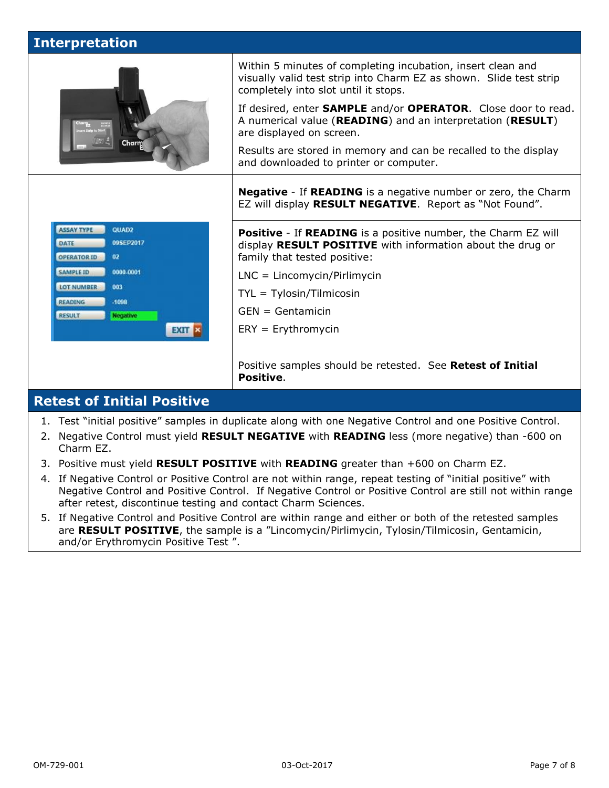## **Interpretation**



Within 5 minutes of completing incubation, insert clean and visually valid test strip into Charm EZ as shown. Slide test strip completely into slot until it stops.

If desired, enter **SAMPLE** and/or **OPERATOR**. Close door to read. A numerical value (**READING**) and an interpretation (**RESULT**) are displayed on screen.

Results are stored in memory and can be recalled to the display and downloaded to printer or computer.

**Negative** - If **READING** is a negative number or zero, the Charm EZ will display **RESULT NEGATIVE**. Report as "Not Found".

**Positive** - If **READING** is a positive number, the Charm EZ will display **RESULT POSITIVE** with information about the drug or family that tested positive:

- LNC = Lincomycin/Pirlimycin
- TYL = Tylosin/Tilmicosin
- GEN = Gentamicin
- ERY = Erythromycin

Positive samples should be retested. See **Retest of Initial Positive**.

### **Retest of Initial Positive**

- 1. Test "initial positive" samples in duplicate along with one Negative Control and one Positive Control.
- 2. Negative Control must yield **RESULT NEGATIVE** with **READING** less (more negative) than -600 on Charm EZ.
- 3. Positive must yield **RESULT POSITIVE** with **READING** greater than +600 on Charm EZ.
- 4. If Negative Control or Positive Control are not within range, repeat testing of "initial positive" with Negative Control and Positive Control. If Negative Control or Positive Control are still not within range after retest, discontinue testing and contact Charm Sciences.
- 5. If Negative Control and Positive Control are within range and either or both of the retested samples are **RESULT POSITIVE**, the sample is a "Lincomycin/Pirlimycin, Tylosin/Tilmicosin, Gentamicin, and/or Erythromycin Positive Test ".